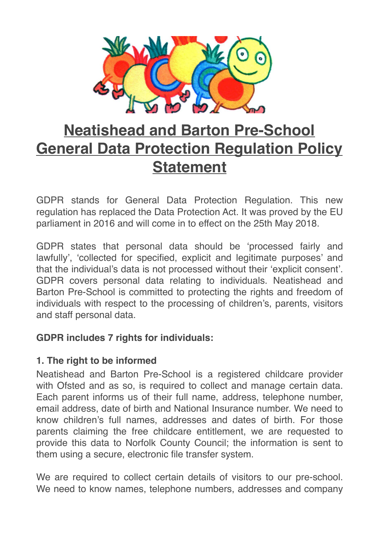

# **Neatishead and Barton Pre-School General Data Protection Regulation Policy Statement**

GDPR stands for General Data Protection Regulation. This new regulation has replaced the Data Protection Act. It was proved by the EU parliament in 2016 and will come in to effect on the 25th May 2018.

GDPR states that personal data should be 'processed fairly and lawfully', 'collected for specified, explicit and legitimate purposes' and that the individual's data is not processed without their 'explicit consent'. GDPR covers personal data relating to individuals. Neatishead and Barton Pre-School is committed to protecting the rights and freedom of individuals with respect to the processing of children's, parents, visitors and staff personal data.

## **GDPR includes 7 rights for individuals:**

## **1. The right to be informed**

Neatishead and Barton Pre-School is a registered childcare provider with Ofsted and as so, is required to collect and manage certain data. Each parent informs us of their full name, address, telephone number, email address, date of birth and National Insurance number. We need to know children's full names, addresses and dates of birth. For those parents claiming the free childcare entitlement, we are requested to provide this data to Norfolk County Council; the information is sent to them using a secure, electronic file transfer system.

We are required to collect certain details of visitors to our pre-school. We need to know names, telephone numbers, addresses and company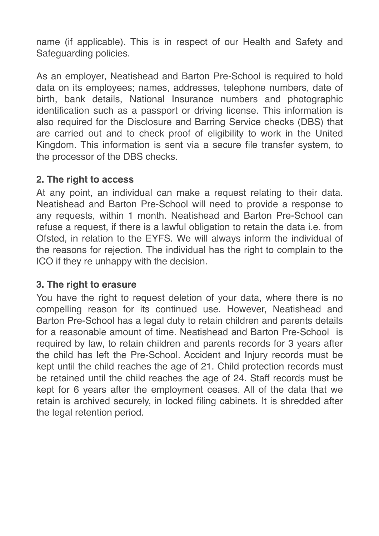name (if applicable). This is in respect of our Health and Safety and Safeguarding policies.

As an employer, Neatishead and Barton Pre-School is required to hold data on its employees; names, addresses, telephone numbers, date of birth, bank details, National Insurance numbers and photographic identification such as a passport or driving license. This information is also required for the Disclosure and Barring Service checks (DBS) that are carried out and to check proof of eligibility to work in the United Kingdom. This information is sent via a secure file transfer system, to the processor of the DBS checks.

#### **2. The right to access**

At any point, an individual can make a request relating to their data. Neatishead and Barton Pre-School will need to provide a response to any requests, within 1 month. Neatishead and Barton Pre-School can refuse a request, if there is a lawful obligation to retain the data i.e. from Ofsted, in relation to the EYFS. We will always inform the individual of the reasons for rejection. The individual has the right to complain to the ICO if they re unhappy with the decision.

#### **3. The right to erasure**

You have the right to request deletion of your data, where there is no compelling reason for its continued use. However, Neatishead and Barton Pre-School has a legal duty to retain children and parents details for a reasonable amount of time. Neatishead and Barton Pre-School is required by law, to retain children and parents records for 3 years after the child has left the Pre-School. Accident and Injury records must be kept until the child reaches the age of 21. Child protection records must be retained until the child reaches the age of 24. Staff records must be kept for 6 years after the employment ceases. All of the data that we retain is archived securely, in locked filing cabinets. It is shredded after the legal retention period.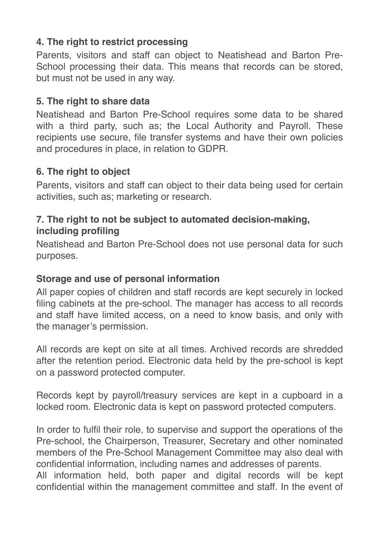## **4. The right to restrict processing**

Parents, visitors and staff can object to Neatishead and Barton Pre-School processing their data. This means that records can be stored, but must not be used in any way.

### **5. The right to share data**

Neatishead and Barton Pre-School requires some data to be shared with a third party, such as; the Local Authority and Payroll. These recipients use secure, file transfer systems and have their own policies and procedures in place, in relation to GDPR.

### **6. The right to object**

Parents, visitors and staff can object to their data being used for certain activities, such as; marketing or research.

## **7. The right to not be subject to automated decision-making, including profiling**

Neatishead and Barton Pre-School does not use personal data for such purposes.

### **Storage and use of personal information**

All paper copies of children and staff records are kept securely in locked filing cabinets at the pre-school. The manager has access to all records and staff have limited access, on a need to know basis, and only with the manager's permission.

All records are kept on site at all times. Archived records are shredded after the retention period. Electronic data held by the pre-school is kept on a password protected computer.

Records kept by payroll/treasury services are kept in a cupboard in a locked room. Electronic data is kept on password protected computers.

In order to fulfil their role, to supervise and support the operations of the Pre-school, the Chairperson, Treasurer, Secretary and other nominated members of the Pre-School Management Committee may also deal with confidential information, including names and addresses of parents. All information held, both paper and digital records will be kept confidential within the management committee and staff. In the event of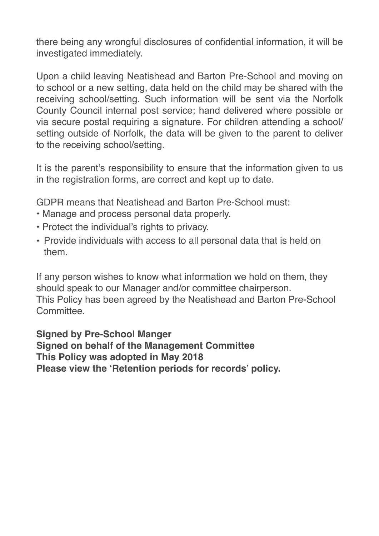there being any wrongful disclosures of confidential information, it will be investigated immediately.

Upon a child leaving Neatishead and Barton Pre-School and moving on to school or a new setting, data held on the child may be shared with the receiving school/setting. Such information will be sent via the Norfolk County Council internal post service; hand delivered where possible or via secure postal requiring a signature. For children attending a school/ setting outside of Norfolk, the data will be given to the parent to deliver to the receiving school/setting.

It is the parent's responsibility to ensure that the information given to us in the registration forms, are correct and kept up to date.

GDPR means that Neatishead and Barton Pre-School must:

- Manage and process personal data properly.
- Protect the individual's rights to privacy.
- Provide individuals with access to all personal data that is held on them.

If any person wishes to know what information we hold on them, they should speak to our Manager and/or committee chairperson. This Policy has been agreed by the Neatishead and Barton Pre-School **Committee** 

**Signed by Pre-School Manger Signed on behalf of the Management Committee This Policy was adopted in May 2018 Please view the 'Retention periods for records' policy.**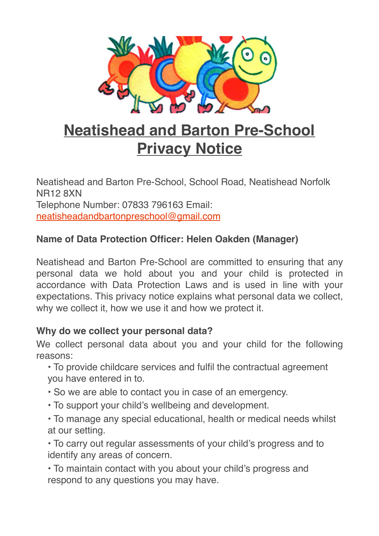

# **Neatishead and Barton Pre-School Privacy Notice**

Neatishead and Barton Pre-School, School Road, Neatishead Norfolk NR12 8XN Telephone Number: 07833 796163 Email: [neatisheadandbartonpreschool@gmail.com](mailto:neatisheadandbartonpreschool@gmail.com)

## **Name of Data Protection Officer: Helen Oakden (Manager)**

Neatishead and Barton Pre-School are committed to ensuring that any personal data we hold about you and your child is protected in accordance with Data Protection Laws and is used in line with your expectations. This privacy notice explains what personal data we collect, why we collect it, how we use it and how we protect it.

### **Why do we collect your personal data?**

We collect personal data about you and your child for the following reasons:

• To provide childcare services and fulfil the contractual agreement you have entered in to.

- So we are able to contact you in case of an emergency.
- To support your child's wellbeing and development.

• To manage any special educational, health or medical needs whilst at our setting.

• To carry out regular assessments of your child's progress and to identify any areas of concern.

• To maintain contact with you about your child's progress and respond to any questions you may have.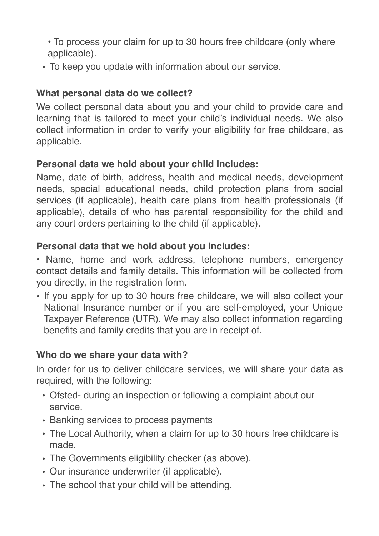• To process your claim for up to 30 hours free childcare (only where applicable).

• To keep you update with information about our service.

## **What personal data do we collect?**

We collect personal data about you and your child to provide care and learning that is tailored to meet your child's individual needs. We also collect information in order to verify your eligibility for free childcare, as applicable.

# **Personal data we hold about your child includes:**

Name, date of birth, address, health and medical needs, development needs, special educational needs, child protection plans from social services (if applicable), health care plans from health professionals (if applicable), details of who has parental responsibility for the child and any court orders pertaining to the child (if applicable).

## **Personal data that we hold about you includes:**

• Name, home and work address, telephone numbers, emergency contact details and family details. This information will be collected from you directly, in the registration form.

• If you apply for up to 30 hours free childcare, we will also collect your National Insurance number or if you are self-employed, your Unique Taxpayer Reference (UTR). We may also collect information regarding benefits and family credits that you are in receipt of.

## **Who do we share your data with?**

In order for us to deliver childcare services, we will share your data as required, with the following:

- Ofsted- during an inspection or following a complaint about our service.
- Banking services to process payments
- The Local Authority, when a claim for up to 30 hours free childcare is made.
- The Governments eligibility checker (as above).
- Our insurance underwriter (if applicable).
- The school that your child will be attending.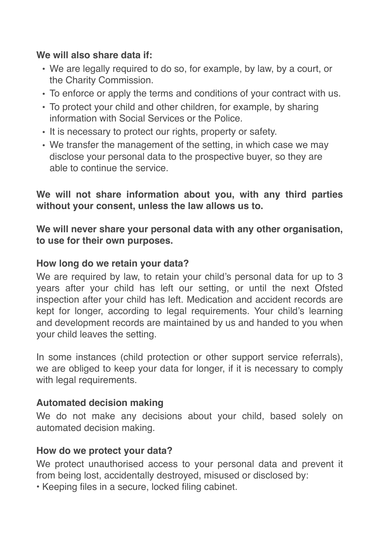### **We will also share data if:**

- We are legally required to do so, for example, by law, by a court, or the Charity Commission.
- To enforce or apply the terms and conditions of your contract with us.
- To protect your child and other children, for example, by sharing information with Social Services or the Police.
- It is necessary to protect our rights, property or safety.
- We transfer the management of the setting, in which case we may disclose your personal data to the prospective buyer, so they are able to continue the service.

**We will not share information about you, with any third parties without your consent, unless the law allows us to.**

**We will never share your personal data with any other organisation, to use for their own purposes.**

## **How long do we retain your data?**

We are required by law, to retain your child's personal data for up to 3 years after your child has left our setting, or until the next Ofsted inspection after your child has left. Medication and accident records are kept for longer, according to legal requirements. Your child's learning and development records are maintained by us and handed to you when your child leaves the setting.

In some instances (child protection or other support service referrals), we are obliged to keep your data for longer, if it is necessary to comply with legal requirements.

## **Automated decision making**

We do not make any decisions about your child, based solely on automated decision making.

### **How do we protect your data?**

We protect unauthorised access to your personal data and prevent it from being lost, accidentally destroyed, misused or disclosed by:

• Keeping files in a secure, locked filing cabinet.